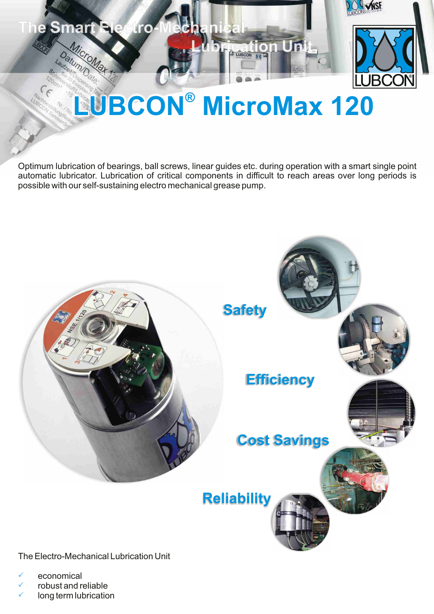

MicroMax

Datum/Datum/D

# **BUBCON® MicroMax 120**

**E** LUBCON

Optimum lubrication of bearings, ball screws, linear guides etc. during operation with a smart single point automatic lubricator. Lubrication of critical components in difficult to reach areas over long periods is possible with our self-sustaining electro mechanical grease pump.



The Electro-Mechanical Lubrication Unit

- economical P
- $\checkmark$  robust and reliable
- $\checkmark$  long term lubrication